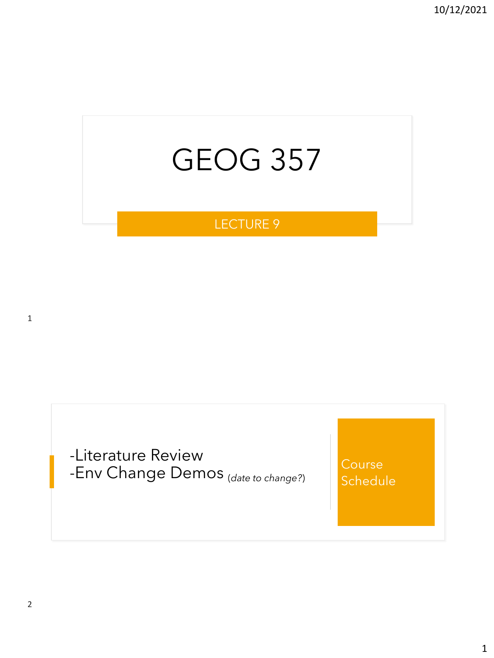# GEOG 357

## LECTURE 9

1

-Literature Review -Env Change Demos (*date to change?*)

**Course Schedule**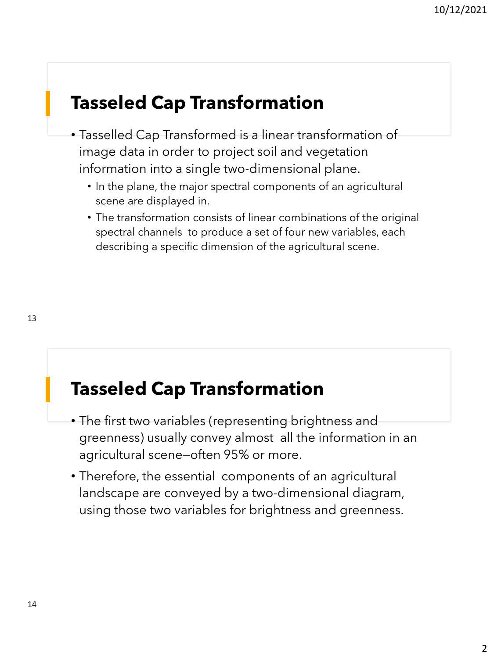## **Tasseled Cap Transformation**

- Tasselled Cap Transformed is a linear transformation of image data in order to project soil and vegetation information into a single two-dimensional plane.
	- In the plane, the major spectral components of an agricultural scene are displayed in.
	- The transformation consists of linear combinations of the original spectral channels to produce a set of four new variables, each describing a specific dimension of the agricultural scene.

## **Tasseled Cap Transformation**

- The first two variables (representing brightness and greenness) usually convey almost all the information in an agricultural scene—often 95% or more.
- Therefore, the essential components of an agricultural landscape are conveyed by a two-dimensional diagram, using those two variables for brightness and greenness.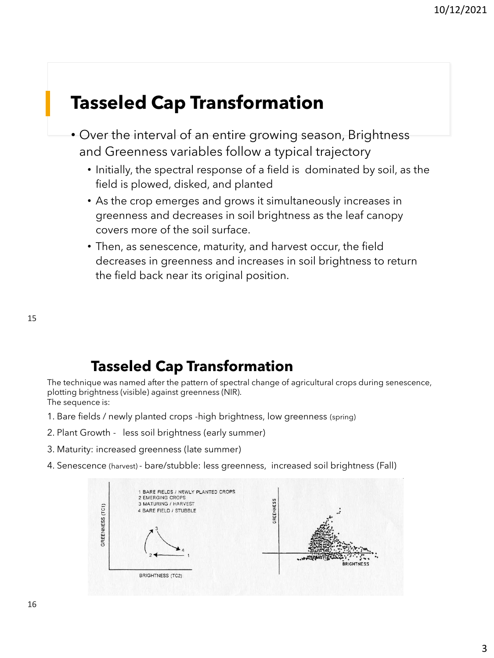## **Tasseled Cap Transformation**

- Over the interval of an entire growing season, Brightness and Greenness variables follow a typical trajectory
	- Initially, the spectral response of a field is dominated by soil, as the field is plowed, disked, and planted
	- As the crop emerges and grows it simultaneously increases in greenness and decreases in soil brightness as the leaf canopy covers more of the soil surface.
	- Then, as senescence, maturity, and harvest occur, the field decreases in greenness and increases in soil brightness to return the field back near its original position.

15

## **Tasseled Cap Transformation**

The technique was named after the pattern of spectral change of agricultural crops during senescence, plotting brightness (visible) against greenness (NIR). The sequence is:

- 1. Bare fields / newly planted crops -high brightness, low greenness (spring)
- 2. Plant Growth less soil brightness (early summer)
- 3. Maturity: increased greenness (late summer)
- 4. Senescence (harvest) bare/stubble: less greenness, increased soil brightness (Fall)

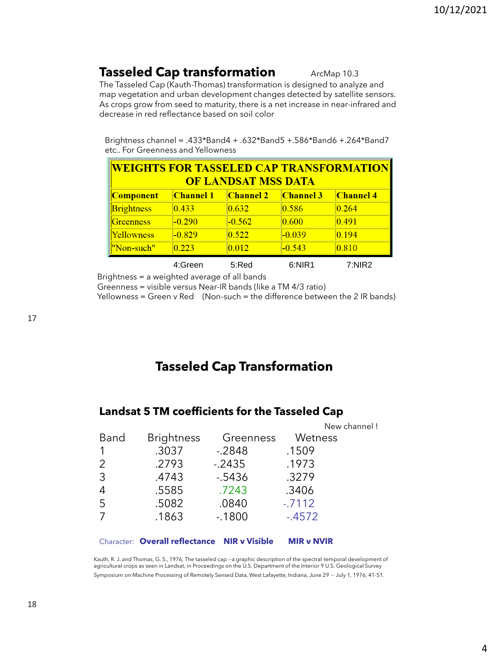## **Tasseled Cap transformation** ArcMap 10.3

The Tasseled Cap (Kauth-Thomas) transformation is designed to analyze and map vegetation and urban development changes detected by satellite sensors. As crops grow from seed to maturity, there is a net increase in near-infrared and decrease in red reflectance based on soil color

Brightness channel = .433\*Band4 + .632\*Band5 +.586\*Band6 +.264\*Band7 etc.. For Greenness and Yellowness

| <b>WEIGHTS FOR TASSELED CAP TRANSFORMATION</b><br><b>OF LANDSAT MSS DATA</b> |                  |                  |                  |                  |  |
|------------------------------------------------------------------------------|------------------|------------------|------------------|------------------|--|
| <b>Component</b>                                                             | <b>Channel 1</b> | <b>Channel 2</b> | <b>Channel 3</b> | <b>Channel 4</b> |  |
| <b>Brightness</b>                                                            | 0.433            | 0.632            | 0.586            | 0.264            |  |
| Greenness                                                                    | $-0.290$         | $-0.562$         | 0.600            | 0.491            |  |
| Yellowness                                                                   | $-0.829$         | 0.522            | $-0.039$         | 0.194            |  |
| "Non-such"                                                                   | 0.223            | 0.012            | $-0.543$         | 0.810            |  |
|                                                                              | 4:Green          | 5:Red            | 6:NIR1           | 7: NIR2          |  |

Brightness = a weighted average of all bands

Greenness = visible versus Near-IR bands (like a TM 4/3 ratio)

Yellowness = Green v Red (Non-such = the difference between the 2 IR bands)

## **Tasseled Cap Transformation**

### **Landsat 5 TM coefficients for the Tasseled Cap**

|                |                   |           | New channel! |
|----------------|-------------------|-----------|--------------|
| Band           | <b>Brightness</b> | Greenness | Wetness      |
|                | .3037             | $-.2848$  | .1509        |
| 2              | .2793             | $-2435$   | .1973        |
| 3              | .4743             | $-5436$   | .3279        |
| $\overline{4}$ | .5585             | .7243     | .3406        |
| 5              | .5082             | .0840     | $-7112$      |
| 7              | .1863             | $-1800$   | $-4572$      |
|                |                   |           |              |

#### Character: **Overall reflectance NIR v Visible MIR v NVIR**

Kauth, R. J. and Thomas, G. S., 1976, The tasseled cap --a graphic description of the spectral-temporal development of agricultural crops as seen in Landsat, in Proceedings on the U.S. Department of the Interior 9 U.S. Geological Survey Symposium on Machine Processing of Remotely Sensed Data, West Lafayette, Indiana, June 29 -- July 1, 1976, 41-51.

17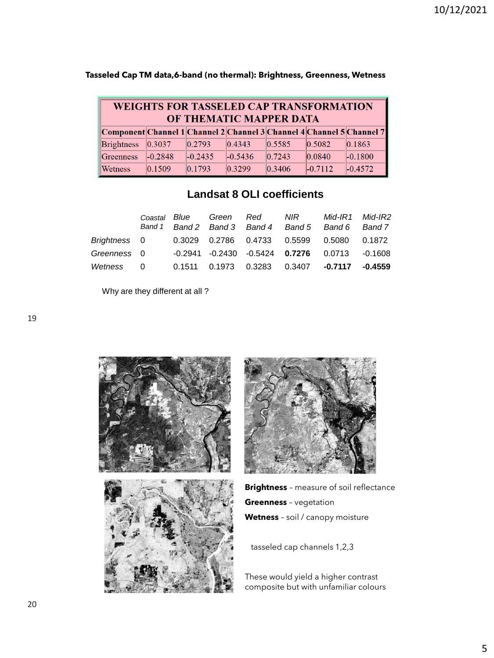| <b>WEIGHTS FOR TASSELED CAP TRANSFORMATION</b><br>OF THEMATIC MAPPER DATA |           |           |                  |                  |                  |                  |  |
|---------------------------------------------------------------------------|-----------|-----------|------------------|------------------|------------------|------------------|--|
| Component Channel 1 Channel 2 Channel 3 Channel 4 Channel 5 Channel 7     |           |           |                  |                  |                  |                  |  |
| <b>Brightness</b>                                                         | 0.3037    | 0.2793    | $ 0.4343\rangle$ | 0.5585           | 0.5082           | $ 0.1863\rangle$ |  |
| Greenness                                                                 | $-0.2848$ | $-0.2435$ | $-0.5436$        | $ 0.7243\rangle$ | $ 0.0840\rangle$ | $-0.1800$        |  |
| Wetness                                                                   | 0.1509    | 0.1793    | 0.3299           | 0.3406           | $-0.7112$        | $-0.4572$        |  |

#### **Tasseled Cap TM data,6-band (no thermal): Brightness, Greenness, Wetness**

### **Landsat 8 OLI coefficients**

|              | Coastal Blue | Green Red              | Band 1 Band 2 Band 3 Band 4 Band 5 | NIR                                         | Mid-IR1<br>Band 6 | Mid-IR2<br>Band 7 |
|--------------|--------------|------------------------|------------------------------------|---------------------------------------------|-------------------|-------------------|
| Brightness 0 |              |                        | 0.3029 0.2786 0.4733 0.5599        |                                             | 0.5080            | 0.1872            |
| Greenness 0  |              |                        |                                    | $-0.2941$ $-0.2430$ $-0.5424$ 0.7276 0.0713 |                   | -0.1608           |
| Wetness      | $\Omega$     | 0.1511  0.1973  0.3283 |                                    | 0.3407 <b>-0.7117   -0.4559</b>             |                   |                   |

Why are they different at all ?





**Brightness** – measure of soil reflectance **Greenness** – vegetation **Wetness** – soil / canopy moisture

tasseled cap channels 1,2,3

These would yield a higher contrast composite but with unfamiliar colours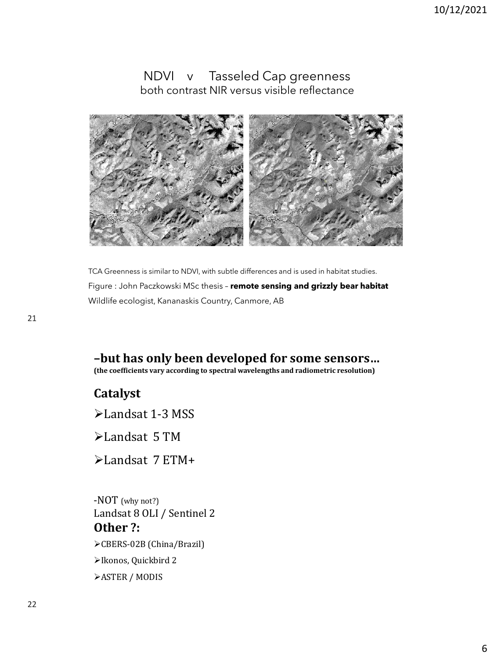### NDVI v Tasseled Cap greenness both contrast NIR versus visible reflectance



TCA Greenness is similar to NDVI, with subtle differences and is used in habitat studies. Figure : John Paczkowski MSc thesis – **remote sensing and grizzly bear habitat** Wildlife ecologist, Kananaskis Country, Canmore, AB

## **–but has only been developed for some sensors…**

**(the coefficients vary according to spectral wavelengths and radiometric resolution)**

## **Catalyst**

➢Landsat 1-3 MSS

➢Landsat 5 TM

➢Landsat 7 ETM+

-NOT (why not?) Landsat 8 OLI / Sentinel 2 **Other ?:** ➢CBERS-02B (China/Brazil) ➢Ikonos, Quickbird 2 ➢ASTER / MODIS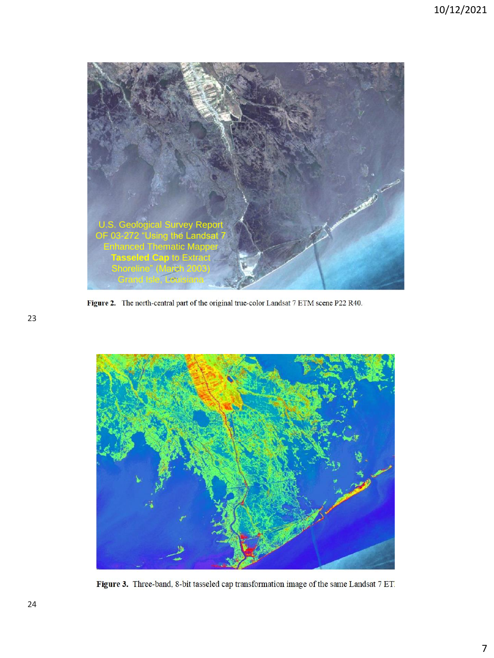

Figure 2. The north-central part of the original true-color Landsat 7 ETM scene P22 R40.



Figure 3. Three-band, 8-bit tasseled cap transformation image of the same Landsat 7 ET.

23